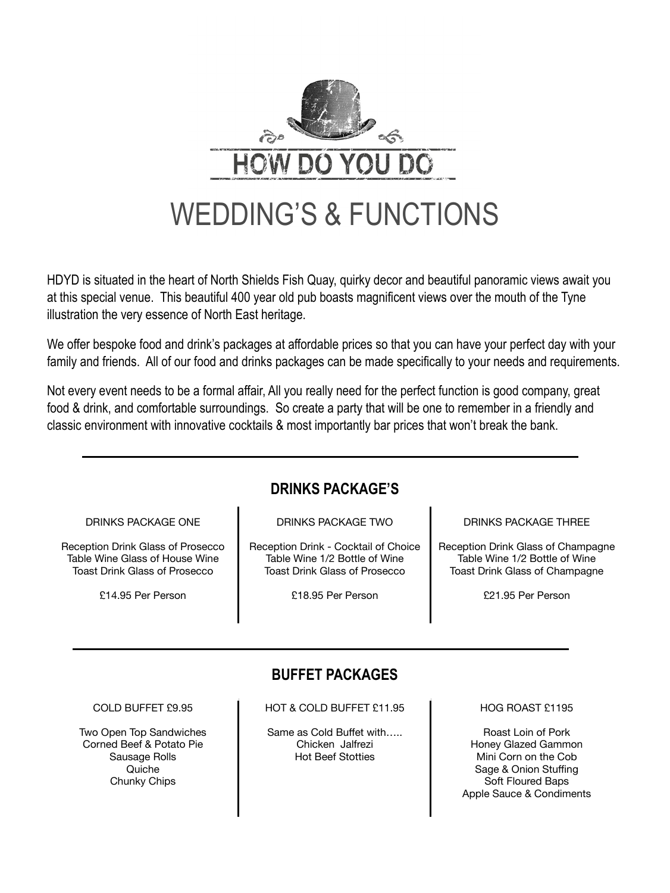

HDYD is situated in the heart of North Shields Fish Quay, quirky decor and beautiful panoramic views await you at this special venue. This beautiful 400 year old pub boasts magnificent views over the mouth of the Tyne illustration the very essence of North East heritage.

We offer bespoke food and drink's packages at affordable prices so that you can have your perfect day with your family and friends. All of our food and drinks packages can be made specifically to your needs and requirements.

Not every event needs to be a formal affair, All you really need for the perfect function is good company, great food & drink, and comfortable surroundings. So create a party that will be one to remember in a friendly and classic environment with innovative cocktails & most importantly bar prices that won't break the bank.

## **DRINKS PACKAGE'S**

### DRINKS PACKAGE ONE

Reception Drink Glass of Prosecco Table Wine Glass of House Wine Toast Drink Glass of Prosecco

£14.95 Per Person

DRINKS PACKAGE TWO

Reception Drink - Cocktail of Choice Table Wine 1/2 Bottle of Wine Toast Drink Glass of Prosecco

£18.95 Per Person

DRINKS PACKAGE THREE

Reception Drink Glass of Champagne Table Wine 1/2 Bottle of Wine Toast Drink Glass of Champagne

£21.95 Per Person

# **BUFFET PACKAGES**

COLD BUFFET £9.95

Two Open Top Sandwiches Corned Beef & Potato Pie Sausage Rolls **Quiche** Chunky Chips

HOT & COLD BUFFET £11.95

Same as Cold Buffet with….. Chicken Jalfrezi Hot Beef Stotties

HOG ROAST £1195

Roast Loin of Pork Honey Glazed Gammon Mini Corn on the Cob Sage & Onion Stuffing Soft Floured Baps Apple Sauce & Condiments